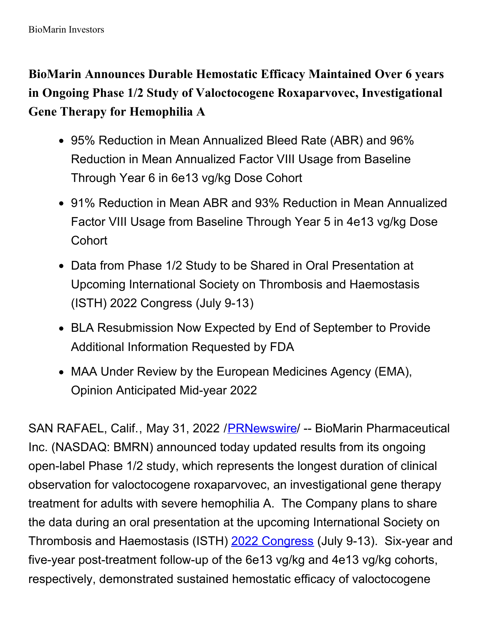# **BioMarin Announces Durable Hemostatic Efficacy Maintained Over 6 years in Ongoing Phase 1/2 Study of Valoctocogene Roxaparvovec, Investigational Gene Therapy for Hemophilia A**

- 95% Reduction in Mean Annualized Bleed Rate (ABR) and 96% Reduction in Mean Annualized Factor VIII Usage from Baseline Through Year 6 in 6e13 vg/kg Dose Cohort
- 91% Reduction in Mean ABR and 93% Reduction in Mean Annualized Factor VIII Usage from Baseline Through Year 5 in 4e13 vg/kg Dose Cohort
- Data from Phase 1/2 Study to be Shared in Oral Presentation at Upcoming International Society on Thrombosis and Haemostasis (ISTH) 2022 Congress (July 9-13)
- BLA Resubmission Now Expected by End of September to Provide Additional Information Requested by FDA
- MAA Under Review by the European Medicines Agency (EMA), Opinion Anticipated Mid-year 2022

SAN RAFAEL, Calif., May 31, 2022 /[PRNewswire](http://www.prnewswire.com/)/ -- BioMarin Pharmaceutical Inc. (NASDAQ: BMRN) announced today updated results from its ongoing open-label Phase 1/2 study, which represents the longest duration of clinical observation for valoctocogene roxaparvovec, an investigational gene therapy treatment for adults with severe hemophilia A. The Company plans to share the data during an oral presentation at the upcoming International Society on Thrombosis and Haemostasis (ISTH) 2022 [Congress](https://c212.net/c/link/?t=0&l=en&o=3552203-1&h=696828389&u=https%3A%2F%2Fwww.isth2022.org%2F&a=2022+Congress) (July 9-13). Six-year and five-year post-treatment follow-up of the 6e13 vg/kg and 4e13 vg/kg cohorts, respectively, demonstrated sustained hemostatic efficacy of valoctocogene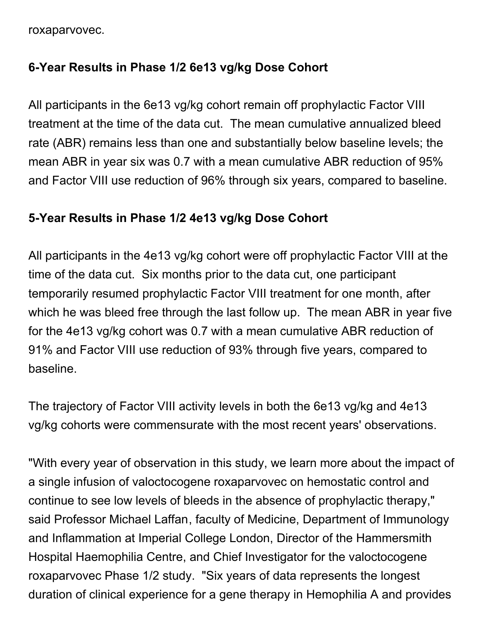roxaparvovec.

# **6-Year Results in Phase 1/2 6e13 vg/kg Dose Cohort**

All participants in the 6e13 vg/kg cohort remain off prophylactic Factor VIII treatment at the time of the data cut. The mean cumulative annualized bleed rate (ABR) remains less than one and substantially below baseline levels; the mean ABR in year six was 0.7 with a mean cumulative ABR reduction of 95% and Factor VIII use reduction of 96% through six years, compared to baseline.

### **5-Year Results in Phase 1/2 4e13 vg/kg Dose Cohort**

All participants in the 4e13 vg/kg cohort were off prophylactic Factor VIII at the time of the data cut. Six months prior to the data cut, one participant temporarily resumed prophylactic Factor VIII treatment for one month, after which he was bleed free through the last follow up. The mean ABR in year five for the 4e13 vg/kg cohort was 0.7 with a mean cumulative ABR reduction of 91% and Factor VIII use reduction of 93% through five years, compared to baseline.

The trajectory of Factor VIII activity levels in both the 6e13 vg/kg and 4e13 vg/kg cohorts were commensurate with the most recent years' observations.

"With every year of observation in this study, we learn more about the impact of a single infusion of valoctocogene roxaparvovec on hemostatic control and continue to see low levels of bleeds in the absence of prophylactic therapy," said Professor Michael Laffan, faculty of Medicine, Department of Immunology and Inflammation at Imperial College London, Director of the Hammersmith Hospital Haemophilia Centre, and Chief Investigator for the valoctocogene roxaparvovec Phase 1/2 study. "Six years of data represents the longest duration of clinical experience for a gene therapy in Hemophilia A and provides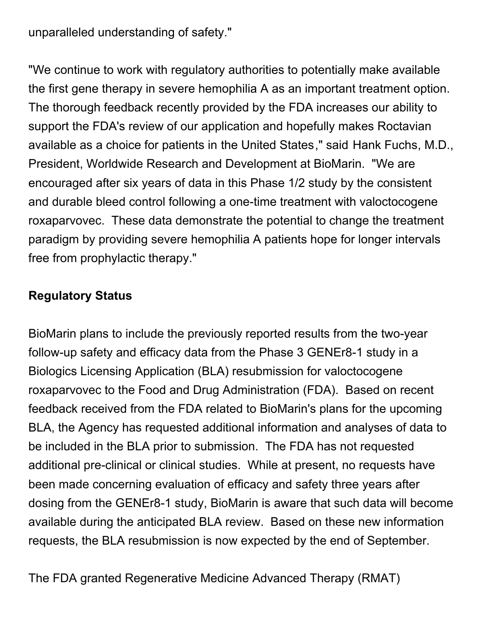unparalleled understanding of safety."

"We continue to work with regulatory authorities to potentially make available the first gene therapy in severe hemophilia A as an important treatment option. The thorough feedback recently provided by the FDA increases our ability to support the FDA's review of our application and hopefully makes Roctavian available as a choice for patients in the United States," said Hank Fuchs, M.D., President, Worldwide Research and Development at BioMarin. "We are encouraged after six years of data in this Phase 1/2 study by the consistent and durable bleed control following a one-time treatment with valoctocogene roxaparvovec. These data demonstrate the potential to change the treatment paradigm by providing severe hemophilia A patients hope for longer intervals free from prophylactic therapy."

### **Regulatory Status**

BioMarin plans to include the previously reported results from the two-year follow-up safety and efficacy data from the Phase 3 GENEr8-1 study in a Biologics Licensing Application (BLA) resubmission for valoctocogene roxaparvovec to the Food and Drug Administration (FDA). Based on recent feedback received from the FDA related to BioMarin's plans for the upcoming BLA, the Agency has requested additional information and analyses of data to be included in the BLA prior to submission. The FDA has not requested additional pre-clinical or clinical studies. While at present, no requests have been made concerning evaluation of efficacy and safety three years after dosing from the GENEr8-1 study, BioMarin is aware that such data will become available during the anticipated BLA review. Based on these new information requests, the BLA resubmission is now expected by the end of September.

The FDA granted Regenerative Medicine Advanced Therapy (RMAT)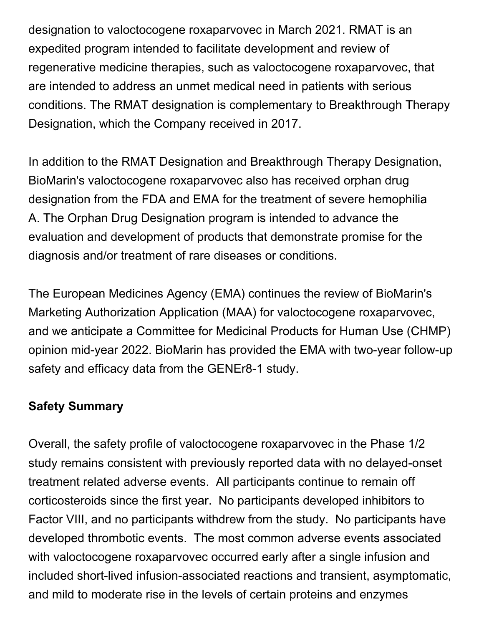designation to valoctocogene roxaparvovec in March 2021. RMAT is an expedited program intended to facilitate development and review of regenerative medicine therapies, such as valoctocogene roxaparvovec, that are intended to address an unmet medical need in patients with serious conditions. The RMAT designation is complementary to Breakthrough Therapy Designation, which the Company received in 2017.

In addition to the RMAT Designation and Breakthrough Therapy Designation, BioMarin's valoctocogene roxaparvovec also has received orphan drug designation from the FDA and EMA for the treatment of severe hemophilia A. The Orphan Drug Designation program is intended to advance the evaluation and development of products that demonstrate promise for the diagnosis and/or treatment of rare diseases or conditions.

The European Medicines Agency (EMA) continues the review of BioMarin's Marketing Authorization Application (MAA) for valoctocogene roxaparvovec, and we anticipate a Committee for Medicinal Products for Human Use (CHMP) opinion mid-year 2022. BioMarin has provided the EMA with two-year follow-up safety and efficacy data from the GENEr8-1 study.

# **Safety Summary**

Overall, the safety profile of valoctocogene roxaparvovec in the Phase 1/2 study remains consistent with previously reported data with no delayed-onset treatment related adverse events. All participants continue to remain off corticosteroids since the first year. No participants developed inhibitors to Factor VIII, and no participants withdrew from the study. No participants have developed thrombotic events. The most common adverse events associated with valoctocogene roxaparvovec occurred early after a single infusion and included short-lived infusion-associated reactions and transient, asymptomatic, and mild to moderate rise in the levels of certain proteins and enzymes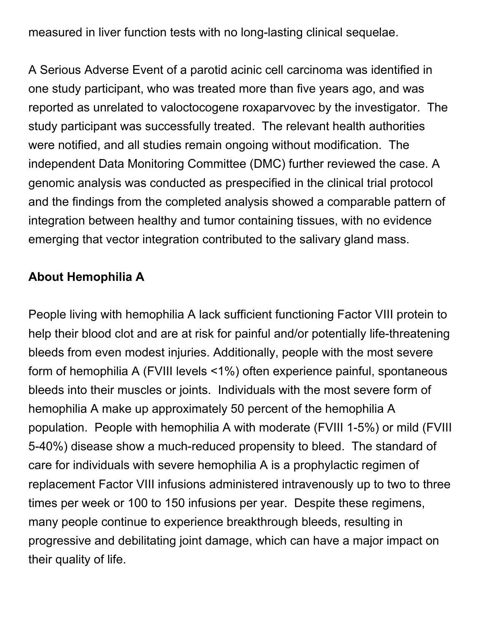measured in liver function tests with no long-lasting clinical sequelae.

A Serious Adverse Event of a parotid acinic cell carcinoma was identified in one study participant, who was treated more than five years ago, and was reported as unrelated to valoctocogene roxaparvovec by the investigator. The study participant was successfully treated. The relevant health authorities were notified, and all studies remain ongoing without modification. The independent Data Monitoring Committee (DMC) further reviewed the case. A genomic analysis was conducted as prespecified in the clinical trial protocol and the findings from the completed analysis showed a comparable pattern of integration between healthy and tumor containing tissues, with no evidence emerging that vector integration contributed to the salivary gland mass.

#### **About Hemophilia A**

People living with hemophilia A lack sufficient functioning Factor VIII protein to help their blood clot and are at risk for painful and/or potentially life-threatening bleeds from even modest injuries. Additionally, people with the most severe form of hemophilia A (FVIII levels <1%) often experience painful, spontaneous bleeds into their muscles or joints. Individuals with the most severe form of hemophilia A make up approximately 50 percent of the hemophilia A population. People with hemophilia A with moderate (FVIII 1-5%) or mild (FVIII 5-40%) disease show a much-reduced propensity to bleed. The standard of care for individuals with severe hemophilia A is a prophylactic regimen of replacement Factor VIII infusions administered intravenously up to two to three times per week or 100 to 150 infusions per year. Despite these regimens, many people continue to experience breakthrough bleeds, resulting in progressive and debilitating joint damage, which can have a major impact on their quality of life.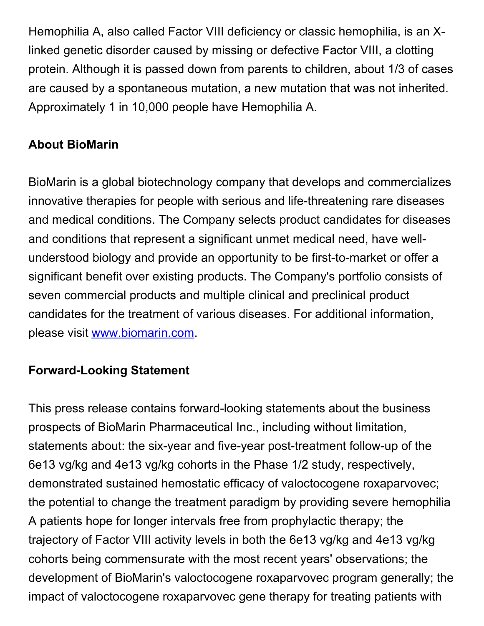Hemophilia A, also called Factor VIII deficiency or classic hemophilia, is an Xlinked genetic disorder caused by missing or defective Factor VIII, a clotting protein. Although it is passed down from parents to children, about 1/3 of cases are caused by a spontaneous mutation, a new mutation that was not inherited. Approximately 1 in 10,000 people have Hemophilia A.

# **About BioMarin**

BioMarin is a global biotechnology company that develops and commercializes innovative therapies for people with serious and life-threatening rare diseases and medical conditions. The Company selects product candidates for diseases and conditions that represent a significant unmet medical need, have wellunderstood biology and provide an opportunity to be first-to-market or offer a significant benefit over existing products. The Company's portfolio consists of seven commercial products and multiple clinical and preclinical product candidates for the treatment of various diseases. For additional information, please visit [www.biomarin.com](https://c212.net/c/link/?t=0&l=en&o=3552203-1&h=3315870273&u=http%3A%2F%2Fwww.biomarin.com%2F&a=www.biomarin.com).

#### **Forward-Looking Statement**

This press release contains forward-looking statements about the business prospects of BioMarin Pharmaceutical Inc., including without limitation, statements about: the six-year and five-year post-treatment follow-up of the 6e13 vg/kg and 4e13 vg/kg cohorts in the Phase 1/2 study, respectively, demonstrated sustained hemostatic efficacy of valoctocogene roxaparvovec; the potential to change the treatment paradigm by providing severe hemophilia A patients hope for longer intervals free from prophylactic therapy; the trajectory of Factor VIII activity levels in both the 6e13 vg/kg and 4e13 vg/kg cohorts being commensurate with the most recent years' observations; the development of BioMarin's valoctocogene roxaparvovec program generally; the impact of valoctocogene roxaparvovec gene therapy for treating patients with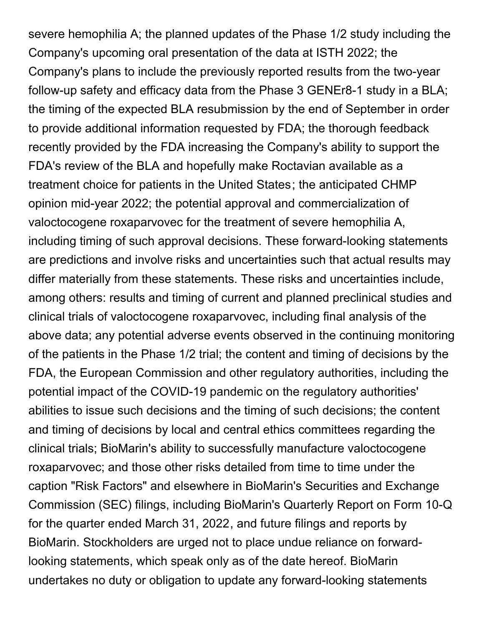severe hemophilia A; the planned updates of the Phase 1/2 study including the Company's upcoming oral presentation of the data at ISTH 2022; the Company's plans to include the previously reported results from the two-year follow-up safety and efficacy data from the Phase 3 GENEr8-1 study in a BLA; the timing of the expected BLA resubmission by the end of September in order to provide additional information requested by FDA; the thorough feedback recently provided by the FDA increasing the Company's ability to support the FDA's review of the BLA and hopefully make Roctavian available as a treatment choice for patients in the United States; the anticipated CHMP opinion mid-year 2022; the potential approval and commercialization of valoctocogene roxaparvovec for the treatment of severe hemophilia A, including timing of such approval decisions. These forward-looking statements are predictions and involve risks and uncertainties such that actual results may differ materially from these statements. These risks and uncertainties include, among others: results and timing of current and planned preclinical studies and clinical trials of valoctocogene roxaparvovec, including final analysis of the above data; any potential adverse events observed in the continuing monitoring of the patients in the Phase 1/2 trial; the content and timing of decisions by the FDA, the European Commission and other regulatory authorities, including the potential impact of the COVID-19 pandemic on the regulatory authorities' abilities to issue such decisions and the timing of such decisions; the content and timing of decisions by local and central ethics committees regarding the clinical trials; BioMarin's ability to successfully manufacture valoctocogene roxaparvovec; and those other risks detailed from time to time under the caption "Risk Factors" and elsewhere in BioMarin's Securities and Exchange Commission (SEC) filings, including BioMarin's Quarterly Report on Form 10-Q for the quarter ended March 31, 2022, and future filings and reports by BioMarin. Stockholders are urged not to place undue reliance on forwardlooking statements, which speak only as of the date hereof. BioMarin undertakes no duty or obligation to update any forward-looking statements